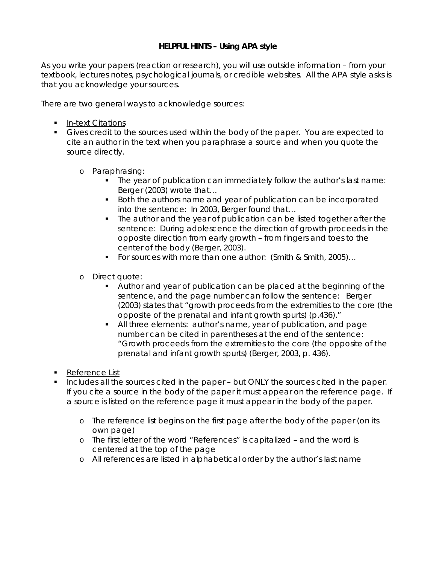# **HELPFUL HINTS – Using APA style**

As you write your papers (reaction or research), you will use outside information – from your textbook, lectures notes, psychological journals, or credible websites. All the APA style asks is that you acknowledge your sources.

There are two general ways to acknowledge sources:

- **In-text Citations**
- Gives credit to the sources used within the body of the paper. You are expected to cite an author in the text when you paraphrase a source and when you quote the source directly.
	- o Paraphrasing:
		- The year of publication can immediately follow the author's last name: Berger (2003) wrote that…
		- **Both the authors name and year of publication can be incorporated** into the sentence: In 2003, Berger found that…
		- The author and the year of publication can be listed together after the sentence: During adolescence the direction of growth proceeds in the opposite direction from early growth – from fingers and toes to the center of the body (Berger, 2003).
		- For sources with more than one author: (Smith & Smith, 2005)...
	- o Direct quote:
		- Author and year of publication can be placed at the beginning of the sentence, and the page number can follow the sentence: Berger (2003) states that "growth proceeds from the extremities to the core (the opposite of the prenatal and infant growth spurts) (p.436)."
		- All three elements: author's name, year of publication, and page number can be cited in parentheses at the end of the sentence: "Growth proceeds from the extremities to the core (the opposite of the prenatal and infant growth spurts) (Berger, 2003, p. 436).
- **Reference List**
- **Includes all the sources cited in the paper but ONLY the sources cited in the paper.** If you cite a source in the body of the paper it must appear on the reference page. If a source is listed on the reference page it must appear in the body of the paper.
	- o The reference list begins on the first page after the body of the paper (on its own page)
	- o The first letter of the word "References" is capitalized and the word is centered at the top of the page
	- o All references are listed in alphabetical order by the author's last name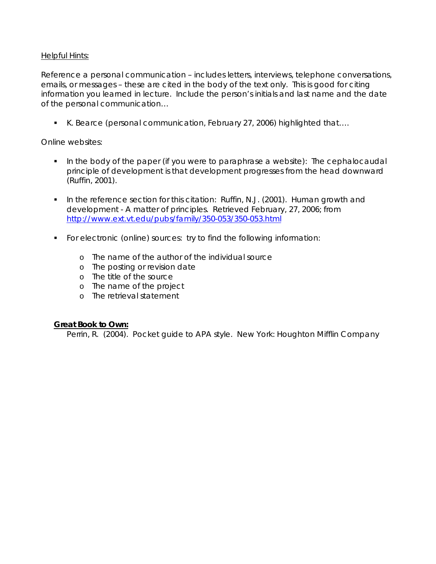## Helpful Hints:

Reference a personal communication – includes letters, interviews, telephone conversations, emails, or messages – these are cited in the body of the text only. This is good for citing information you learned in lecture. Include the person's initials and last name and the date of the personal communication…

■ K. Bearce (personal communication, February 27, 2006) highlighted that....

## Online websites:

- In the body of the paper (if you were to paraphrase a website): The cephalocaudal principle of development is that development progresses from the head downward (Ruffin, 2001).
- In the reference section for this citation: Ruffin, N.J. (2001). Human growth and development - A matter of principles. Retrieved February, 27, 2006; from <http://www.ext.vt.edu/pubs/family/350-053/350-053.html>
- For electronic (online) sources: try to find the following information:
	- o The name of the author of the individual source
	- o The posting or revision date
	- o The title of the source
	- o The name of the project
	- o The retrieval statement

## **Great Book to Own:**

Perrin, R. (2004). *Pocket guide to APA style*. New York: Houghton Mifflin Company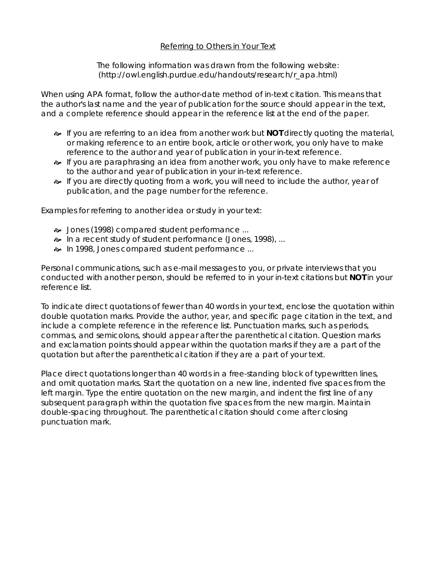## Referring to Others in Your Text

The following information was drawn from the following website: (http://owl.english.purdue.edu/handouts/research/r\_apa.html)

When using APA format, follow the author-date method of in-text citation. This means that the author's last name and the year of publication for the source should appear in the text, and a complete reference should appear in the reference list at the end of the paper.

- $\sim$  If you are referring to an idea from another work but **NOT** directly quoting the material, or making reference to an entire book, article or other work, you only have to make reference to the author and year of publication in your in-text reference.
- $\bullet\bullet$  If you are paraphrasing an idea from another work, you only have to make reference to the author and year of publication in your in-text reference.
- $\sim$  If you are directly quoting from a work, you will need to include the author, year of publication, and the page number for the reference.

Examples for referring to another idea or study in your text:

- $\approx$  Jones (1998) compared student performance ...
- $\approx$  In a recent study of student performance (Jones, 1998), ...
- $\approx$  In 1998, Jones compared student performance ...

Personal communications, such as e-mail messages to you, or private interviews that you conducted with another person, should be referred to in your in-text citations but **NOT** in your reference list.

To indicate direct quotations of fewer than 40 words in your text, enclose the quotation within double quotation marks. Provide the author, year, and specific page citation in the text, and include a complete reference in the reference list. Punctuation marks, such as periods, commas, and semicolons, should appear after the parenthetical citation. Question marks and exclamation points should appear within the quotation marks if they are a part of the quotation but after the parenthetical citation if they are a part of your text.

Place direct quotations longer than 40 words in a free-standing block of typewritten lines, and omit quotation marks. Start the quotation on a new line, indented five spaces from the left margin. Type the entire quotation on the new margin, and indent the first line of any subsequent paragraph within the quotation five spaces from the new margin. Maintain double-spacing throughout. The parenthetical citation should come after closing punctuation mark.